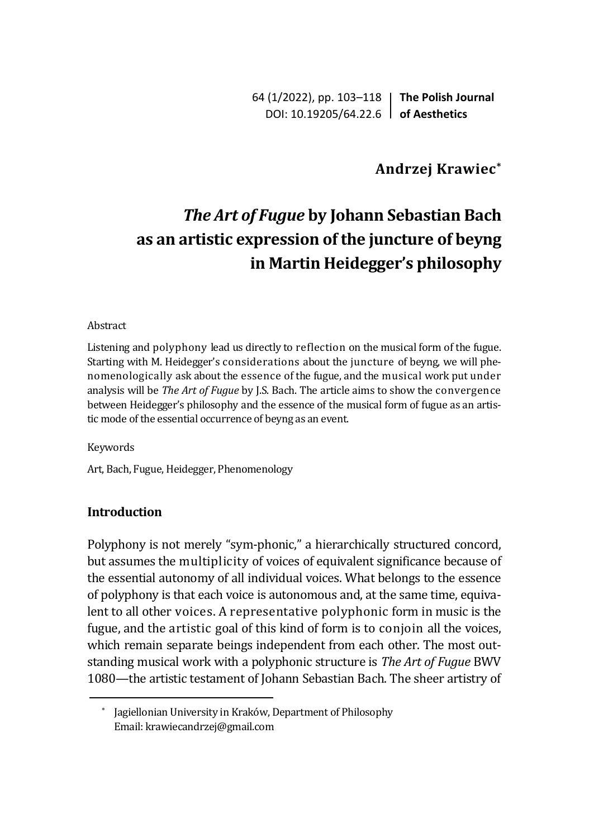64 (1/2022), pp. 103–118 **The Polish Journal** DOI: 10.19205/64.22.6 **of Aesthetics**

## **Andrzej Krawiec\***

# *The Art of Fugue* **by Johann Sebastian Bach as an artistic expression of the juncture of beyng in Martin Heidegger's philosophy**

#### Abstract

Listening and polyphony lead us directly to reflection on the musical form of the fugue. Starting with M. Heidegger's considerations about the juncture of beyng, we will phenomenologically ask about the essence of the fugue, and the musical work put under analysis will be *The Art of Fugue* by J.S. Bach. The article aims to show the convergence between Heidegger's philosophy and the essence of the musical form of fugue as an artistic mode of the essential occurrence of beyng as an event.

Keywords

Art, Bach, Fugue, Heidegger, Phenomenology

### **Introduction**

Polyphony is not merely "sym-phonic," a hierarchically structured concord, but assumes the multiplicity of voices of equivalent significance because of the essential autonomy of all individual voices. What belongs to the essence of polyphony is that each voice is autonomous and, at the same time, equivalent to all other voices. A representative polyphonic form in music is the fugue, and the artistic goal of this kind of form is to conjoin all the voices, which remain separate beings independent from each other. The most outstanding musical work with a polyphonic structure is *The Art of Fugue* BWV 1080—the artistic testament of Johann Sebastian Bach. The sheer artistry of

<sup>\*</sup> Jagiellonian University in Kraków, Department of Philosophy Email: krawiecandrzej@gmail.com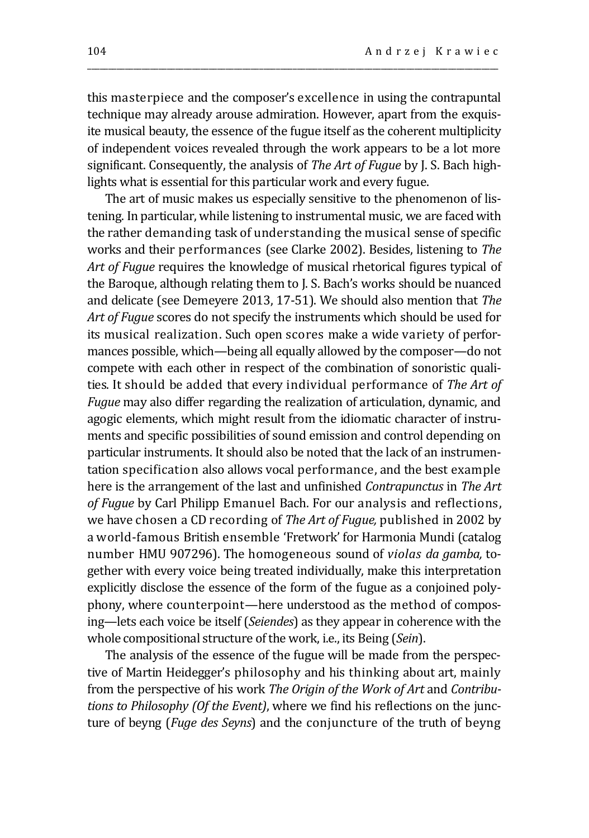this masterpiece and the composer's excellence in using the contrapuntal technique may already arouse admiration. However, apart from the exquisite musical beauty, the essence of the fugue itself as the coherent multiplicity of independent voices revealed through the work appears to be a lot more significant. Consequently, the analysis of *The Art of Fugue* by J. S. Bach highlights what is essential for this particular work and every fugue.

\_\_\_\_\_\_\_\_\_\_\_\_\_\_\_\_\_\_\_\_\_\_\_\_\_\_\_\_\_\_\_\_\_\_\_\_\_\_\_\_\_\_\_\_\_\_\_\_\_\_\_\_\_\_\_\_\_\_\_\_\_\_\_\_\_\_\_\_\_\_\_\_\_\_\_\_\_\_\_\_\_\_\_\_\_\_\_\_\_\_\_\_\_\_\_\_\_\_

The art of music makes us especially sensitive to the phenomenon of listening. In particular, while listening to instrumental music, we are faced with the rather demanding task of understanding the musical sense of specific works and their performances (see Clarke 2002). Besides, listening to *The Art of Fugue* requires the knowledge of musical rhetorical figures typical of the Baroque, although relating them to J. S. Bach's works should be nuanced and delicate (see Demeyere 2013, 17-51). We should also mention that *The Art of Fugue* scores do not specify the instruments which should be used for its musical realization. Such open scores make a wide variety of performances possible, which—being all equally allowed by the composer—do not compete with each other in respect of the combination of sonoristic qualities. It should be added that every individual performance of *The Art of Fugue* may also differ regarding the realization of articulation, dynamic, and agogic elements, which might result from the idiomatic character of instruments and specific possibilities of sound emission and control depending on particular instruments. It should also be noted that the lack of an instrumentation specification also allows vocal performance, and the best example here is the arrangement of the last and unfinished *Contrapunctus* in *The Art of Fugue* by Carl Philipp Emanuel Bach. For our analysis and reflections, we have chosen a CD recording of *The Art of Fugue,* published in 2002 by a world-famous British ensemble 'Fretwork' for Harmonia Mundi (catalog number HMU 907296). The homogeneous sound of *violas da gamba,* together with every voice being treated individually, make this interpretation explicitly disclose the essence of the form of the fugue as a conjoined polyphony, where counterpoint—here understood as the method of composing—lets each voice be itself (*Seiendes*) as they appear in coherence with the whole compositional structure of the work, i.e., its Being (*Sein*).

The analysis of the essence of the fugue will be made from the perspective of Martin Heidegger's philosophy and his thinking about art, mainly from the perspective of his work *The Origin of the Work of Art* and *Contributions to Philosophy (Of the Event)*, where we find his reflections on the juncture of beyng (*Fuge des Seyns*) and the conjuncture of the truth of beyng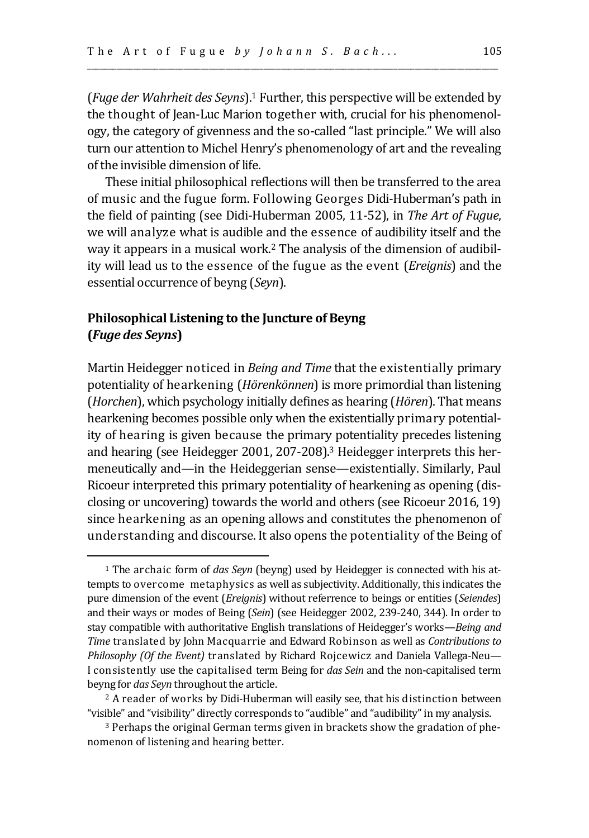(*Fuge der Wahrheit des Seyns*).<sup>1</sup> Further, this perspective will be extended by the thought of Jean-Luc Marion together with, crucial for his phenomenology, the category of givenness and the so-called "last principle." We will also turn our attention to Michel Henry's phenomenology of art and the revealing of the invisible dimension of life.

\_\_\_\_\_\_\_\_\_\_\_\_\_\_\_\_\_\_\_\_\_\_\_\_\_\_\_\_\_\_\_\_\_\_\_\_\_\_\_\_\_\_\_\_\_\_\_\_\_\_\_\_\_\_\_\_\_\_\_\_\_\_\_\_\_\_\_\_\_\_\_\_\_\_\_\_\_\_\_\_\_\_\_\_\_\_\_\_\_\_\_\_\_\_\_\_\_\_

These initial philosophical reflections will then be transferred to the area of music and the fugue form. Following Georges Didi-Huberman's path in the field of painting (see Didi-Huberman 2005, 11-52), in *The Art of Fugue*, we will analyze what is audible and the essence of audibility itself and the way it appears in a musical work.<sup>2</sup> The analysis of the dimension of audibility will lead us to the essence of the fugue as the event (*Ereignis*) and the essential occurrence of beyng (*Seyn*).

## **Philosophical Listening to the Juncture of Beyng (***Fuge des Seyns***)**

Martin Heidegger noticed in *Being and Time* that the existentially primary potentiality of hearkening (*Hörenkönnen*) is more primordial than listening (*Horchen*), which psychology initially defines as hearing (*Hören*). That means hearkening becomes possible only when the existentially primary potentiality of hearing is given because the primary potentiality precedes listening and hearing (see Heidegger 2001, 207-208).<sup>3</sup> Heidegger interprets this hermeneutically and—in the Heideggerian sense—existentially. Similarly, Paul Ricoeur interpreted this primary potentiality of hearkening as opening (disclosing or uncovering) towards the world and others (see Ricoeur 2016, 19) since hearkening as an opening allows and constitutes the phenomenon of understanding and discourse. It also opens the potentiality of the Being of

<sup>1</sup> The archaic form of *das Seyn* (beyng) used by Heidegger is connected with his attempts to overcome metaphysics as well as subjectivity. Additionally, this indicates the pure dimension of the event (*Ereignis*) without referrence to beings or entities (*Seiendes*) and their ways or modes of Being (*Sein*) (see Heidegger 2002, 239-240, 344). In order to stay compatible with authoritative English translations of Heidegger's works—*Being and Time* translated by John Macquarrie and Edward Robinson as well as *Contributions to Philosophy (Of the Event)* translated by Richard Rojcewicz and Daniela Vallega-Neu— I consistently use the capitalised term Being for *das Sein* and the non-capitalised term beyng for *das Seyn* throughout the article.

<sup>&</sup>lt;sup>2</sup> A reader of works by Didi-Huberman will easily see, that his distinction between "visible" and "visibility" directly corresponds to "audible" and "audibility" in my analysis.

<sup>3</sup> Perhaps the original German terms given in brackets show the gradation of phenomenon of listening and hearing better.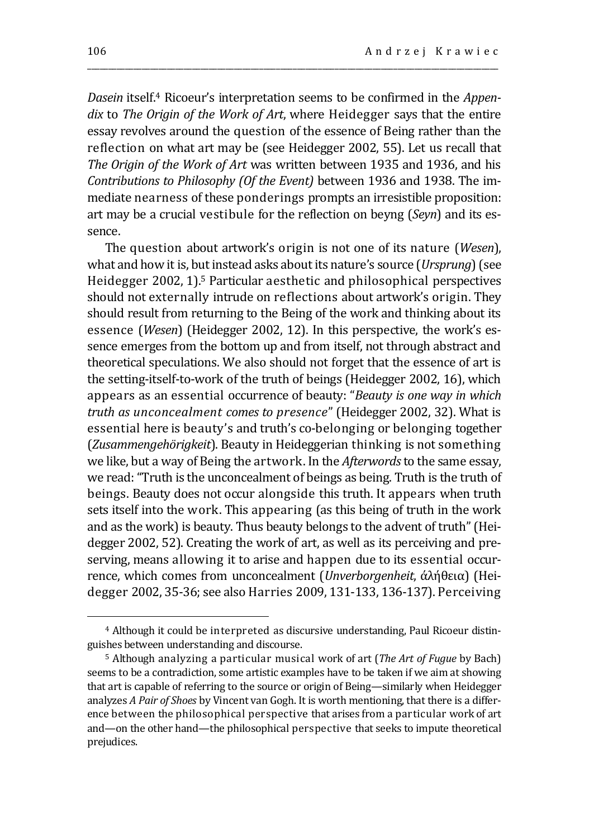*Dasein* itself.<sup>4</sup> Ricoeur's interpretation seems to be confirmed in the *Appendix* to *The Origin of the Work of Art*, where Heidegger says that the entire essay revolves around the question of the essence of Being rather than the reflection on what art may be (see Heidegger 2002, 55). Let us recall that *The Origin of the Work of Art* was written between 1935 and 1936, and his *Contributions to Philosophy (Of the Event)* between 1936 and 1938. The immediate nearness of these ponderings prompts an irresistible proposition: art may be a crucial vestibule for the reflection on beyng (*Seyn*) and its essence.

\_\_\_\_\_\_\_\_\_\_\_\_\_\_\_\_\_\_\_\_\_\_\_\_\_\_\_\_\_\_\_\_\_\_\_\_\_\_\_\_\_\_\_\_\_\_\_\_\_\_\_\_\_\_\_\_\_\_\_\_\_\_\_\_\_\_\_\_\_\_\_\_\_\_\_\_\_\_\_\_\_\_\_\_\_\_\_\_\_\_\_\_\_\_\_\_\_\_

The question about artwork's origin is not one of its nature (*Wesen*), what and how it is, but instead asks about its nature's source (*Ursprung*)(see Heidegger 2002, 1).<sup>5</sup> Particular aesthetic and philosophical perspectives should not externally intrude on reflections about artwork's origin. They should result from returning to the Being of the work and thinking about its essence (*Wesen*) (Heidegger 2002, 12). In this perspective, the work's essence emerges from the bottom up and from itself, not through abstract and theoretical speculations. We also should not forget that the essence of art is the setting-itself-to-work of the truth of beings (Heidegger 2002, 16), which appears as an essential occurrence of beauty: "*Beauty is one way in which truth as unconcealment comes to presence*" (Heidegger 2002, 32). What is essential here is beauty's and truth's co-belonging or belonging together (*Zusammengehörigkeit*). Beauty in Heideggerian thinking is not something we like, but a way of Being the artwork. In the *Afterwords* to the same essay, we read: "Truth is the unconcealment of beings as being. Truth is the truth of beings. Beauty does not occur alongside this truth. It appears when truth sets itself into the work. This appearing (as this being of truth in the work and as the work) is beauty. Thus beauty belongs to the advent of truth" (Heidegger 2002, 52). Creating the work of art, as well as its perceiving and preserving, means allowing it to arise and happen due to its essential occurrence, which comes from unconcealment (*Unverborgenheit*, άλήθεια) (Heidegger 2002, 35-36; see also Harries 2009, 131-133, 136-137). Perceiving

<sup>4</sup> Although it could be interpreted as discursive understanding, Paul Ricoeur distinguishes between understanding and discourse.

<sup>5</sup> Although analyzing a particular musical work of art (*The Art of Fugue* by Bach) seems to be a contradiction, some artistic examples have to be taken if we aim at showing that art is capable of referring to the source or origin of Being—similarly when Heidegger analyzes *A Pair of Shoes* by Vincent van Gogh. It is worth mentioning, that there is a difference between the philosophical perspective that arises from a particular work of art and—on the other hand—the philosophical perspective that seeks to impute theoretical prejudices.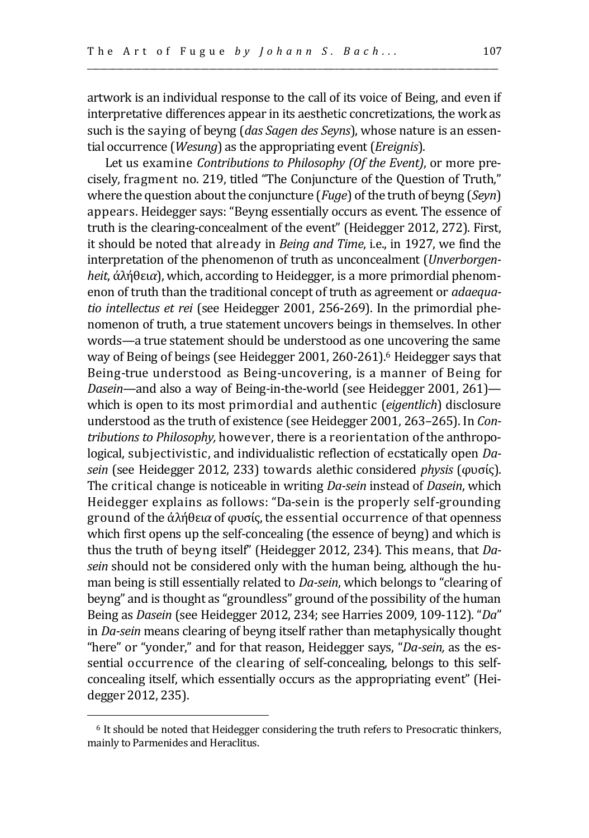artwork is an individual response to the call of its voice of Being, and even if interpretative differences appear in its aesthetic concretizations, the work as such is the saying of beyng (*das Sagen des Seyns*), whose nature is an essential occurrence (*Wesung*) as the appropriating event (*Ereignis*).

\_\_\_\_\_\_\_\_\_\_\_\_\_\_\_\_\_\_\_\_\_\_\_\_\_\_\_\_\_\_\_\_\_\_\_\_\_\_\_\_\_\_\_\_\_\_\_\_\_\_\_\_\_\_\_\_\_\_\_\_\_\_\_\_\_\_\_\_\_\_\_\_\_\_\_\_\_\_\_\_\_\_\_\_\_\_\_\_\_\_\_\_\_\_\_\_\_\_

Let us examine *Contributions to Philosophy (Of the Event)*, or more precisely, fragment no. 219, titled "The Conjuncture of the Question of Truth," where the question about the conjuncture (*Fuge*) of the truth of beyng (*Seyn*) appears. Heidegger says: "Beyng essentially occurs as event. The essence of truth is the clearing-concealment of the event" (Heidegger 2012, 272). First, it should be noted that already in *Being and Time*, i.e., in 1927, we find the interpretation of the phenomenon of truth as unconcealment (*Unverborgenheit*, ἀλήθει*α*), which, according to Heidegger, is a more primordial phenomenon of truth than the traditional concept of truth as agreement or *adaequatio intellectus et rei* (see Heidegger 2001, 256-269). In the primordial phenomenon of truth, a true statement uncovers beings in themselves. In other words—a true statement should be understood as one uncovering the same way of Being of beings (see Heidegger 2001, 260-261).<sup>6</sup> Heidegger says that Being-true understood as Being-uncovering, is a manner of Being for *Dasein*—and also a way of Being-in-the-world (see Heidegger 2001, 261) which is open to its most primordial and authentic (*eigentlich*) disclosure understood as the truth of existence (see Heidegger 2001, 263–265). In *Contributions to Philosophy,* however, there is a reorientation of the anthropological, subjectivistic, and individualistic reflection of ecstatically open *Dasein* (see Heidegger 2012, 233) towards alethic considered *physis* (φυσίς). The critical change is noticeable in writing *Da-sein* instead of *Dasein*, which Heidegger explains as follows: "Da-sein is the properly self-grounding ground of the ἀλήθει*α* of φυσίς, the essential occurrence of that openness which first opens up the self-concealing (the essence of beyng) and which is thus the truth of beyng itself" (Heidegger 2012, 234). This means, that *Dasein* should not be considered only with the human being, although the human being is still essentially related to *Da-sein*, which belongs to "clearing of beyng" and is thought as "groundless" ground of the possibility of the human Being as *Dasein* (see Heidegger 2012, 234; see Harries 2009, 109-112). "*Da*" in *Da-sein* means clearing of beyng itself rather than metaphysically thought "here" or "yonder," and for that reason, Heidegger says, "*Da-sein,* as the essential occurrence of the clearing of self-concealing, belongs to this selfconcealing itself, which essentially occurs as the appropriating event" (Heidegger 2012, 235).

<sup>&</sup>lt;sup>6</sup> It should be noted that Heidegger considering the truth refers to Presocratic thinkers, mainly to Parmenides and Heraclitus.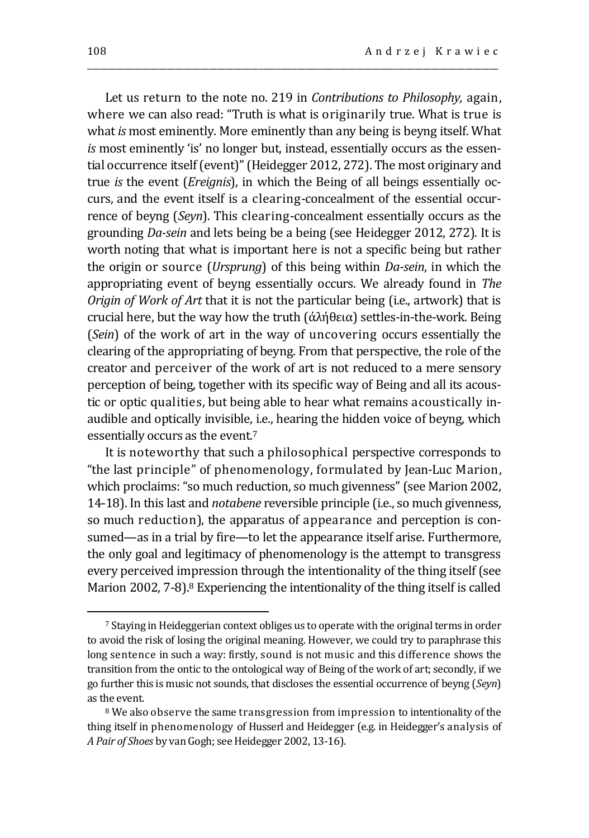Let us return to the note no. 219 in *Contributions to Philosophy,* again, where we can also read: "Truth is what is originarily true. What is true is what *is* most eminently. More eminently than any being is beyng itself. What *is* most eminently 'is' no longer but, instead, essentially occurs as the essential occurrence itself (event)" (Heidegger 2012, 272). The most originary and true *is* the event (*Ereignis*), in which the Being of all beings essentially occurs, and the event itself is a clearing-concealment of the essential occurrence of beyng (*Seyn*). This clearing-concealment essentially occurs as the grounding *Da-sein* and lets being be a being (see Heidegger 2012, 272). It is worth noting that what is important here is not a specific being but rather the origin or source (*Ursprung*) of this being within *Da-sein*, in which the appropriating event of beyng essentially occurs. We already found in *The Origin of Work of Art* that it is not the particular being (i.e., artwork) that is crucial here, but the way how the truth (ἀλήθεια) settles-in-the-work. Being (*Sein*) of the work of art in the way of uncovering occurs essentially the clearing of the appropriating of beyng. From that perspective, the role of the creator and perceiver of the work of art is not reduced to a mere sensory perception of being, together with its specific way of Being and all its acoustic or optic qualities, but being able to hear what remains acoustically inaudible and optically invisible, i.e., hearing the hidden voice of beyng, which essentially occurs as the event.<sup>7</sup>

\_\_\_\_\_\_\_\_\_\_\_\_\_\_\_\_\_\_\_\_\_\_\_\_\_\_\_\_\_\_\_\_\_\_\_\_\_\_\_\_\_\_\_\_\_\_\_\_\_\_\_\_\_\_\_\_\_\_\_\_\_\_\_\_\_\_\_\_\_\_\_\_\_\_\_\_\_\_\_\_\_\_\_\_\_\_\_\_\_\_\_\_\_\_\_\_\_\_

It is noteworthy that such a philosophical perspective corresponds to "the last principle" of phenomenology, formulated by Jean-Luc Marion, which proclaims: "so much reduction, so much givenness" (see Marion 2002, 14-18). In this last and *notabene* reversible principle (i.e., so much givenness, so much reduction), the apparatus of appearance and perception is consumed—as in a trial by fire—to let the appearance itself arise. Furthermore, the only goal and legitimacy of phenomenology is the attempt to transgress every perceived impression through the intentionality of the thing itself (see Marion 2002, 7-8).<sup>8</sup> Experiencing the intentionality of the thing itself is called

<sup>7</sup> Staying in Heideggerian context obliges us to operate with the original terms in order to avoid the risk of losing the original meaning. However, we could try to paraphrase this long sentence in such a way: firstly, sound is not music and this difference shows the transition from the ontic to the ontological way of Being of the work of art; secondly, if we go further this is music not sounds, that discloses the essential occurrence of beyng (*Seyn*) as the event.

<sup>&</sup>lt;sup>8</sup> We also observe the same transgression from impression to intentionality of the thing itself in phenomenology of Husserl and Heidegger (e.g. in Heidegger's analysis of *A Pair of Shoes* by van Gogh; see Heidegger 2002, 13-16).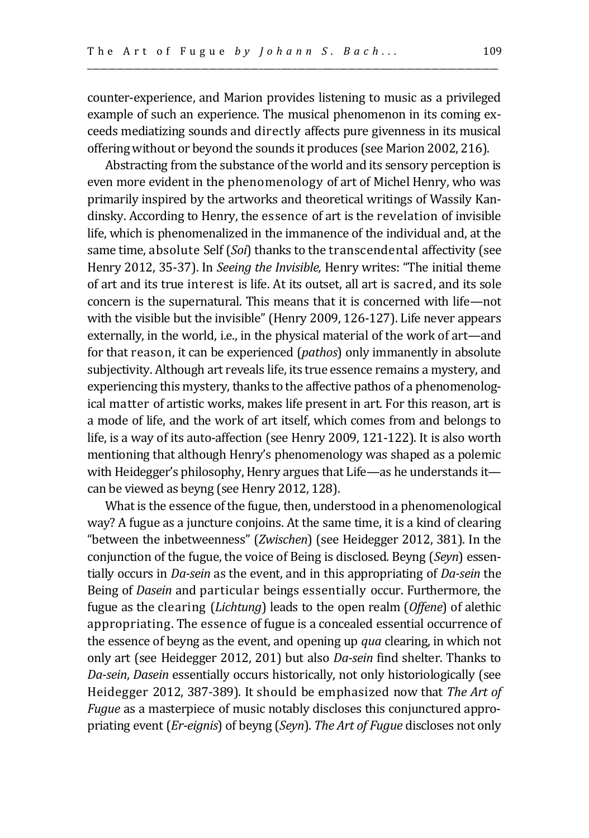counter-experience, and Marion provides listening to music as a privileged example of such an experience. The musical phenomenon in its coming exceeds mediatizing sounds and directly affects pure givenness in its musical offering without or beyond the sounds it produces (see Marion 2002, 216).

\_\_\_\_\_\_\_\_\_\_\_\_\_\_\_\_\_\_\_\_\_\_\_\_\_\_\_\_\_\_\_\_\_\_\_\_\_\_\_\_\_\_\_\_\_\_\_\_\_\_\_\_\_\_\_\_\_\_\_\_\_\_\_\_\_\_\_\_\_\_\_\_\_\_\_\_\_\_\_\_\_\_\_\_\_\_\_\_\_\_\_\_\_\_\_\_\_\_

Abstracting from the substance of the world and its sensory perception is even more evident in the phenomenology of art of Michel Henry, who was primarily inspired by the artworks and theoretical writings of Wassily Kandinsky. According to Henry, the essence of art is the revelation of invisible life, which is phenomenalized in the immanence of the individual and, at the same time, absolute Self (*Soi*) thanks to the transcendental affectivity (see Henry 2012, 35-37). In *Seeing the Invisible,* Henry writes: "The initial theme of art and its true interest is life. At its outset, all art is sacred, and its sole concern is the supernatural. This means that it is concerned with life—not with the visible but the invisible" (Henry 2009, 126-127). Life never appears externally, in the world, i.e., in the physical material of the work of art—and for that reason, it can be experienced (*pathos*) only immanently in absolute subjectivity. Although art reveals life, its true essence remains a mystery, and experiencing this mystery, thanks to the affective pathos of a phenomenological matter of artistic works, makes life present in art. For this reason, art is a mode of life, and the work of art itself, which comes from and belongs to life, is a way of its auto-affection (see Henry 2009, 121-122). It is also worth mentioning that although Henry's phenomenology was shaped as a polemic with Heidegger's philosophy, Henry argues that Life—as he understands it can be viewed as beyng (see Henry 2012, 128).

What is the essence of the fugue, then, understood in a phenomenological way? A fugue as a juncture conjoins. At the same time, it is a kind of clearing "between the inbetweenness" (*Zwischen*) (see Heidegger 2012, 381). In the conjunction of the fugue, the voice of Being is disclosed. Beyng (*Seyn*) essentially occurs in *Da-sein* as the event, and in this appropriating of *Da-sein* the Being of *Dasein* and particular beings essentially occur. Furthermore, the fugue as the clearing (*Lichtung*) leads to the open realm (*Offene*) of alethic appropriating. The essence of fugue is a concealed essential occurrence of the essence of beyng as the event, and opening up *qua* clearing, in which not only art (see Heidegger 2012, 201) but also *Da-sein* find shelter. Thanks to *Da-sein*, *Dasein* essentially occurs historically, not only historiologically (see Heidegger 2012, 387-389). It should be emphasized now that *The Art of Fugue* as a masterpiece of music notably discloses this conjunctured appropriating event (*Er-eignis*) of beyng (*Seyn*). *The Art of Fugue* discloses not only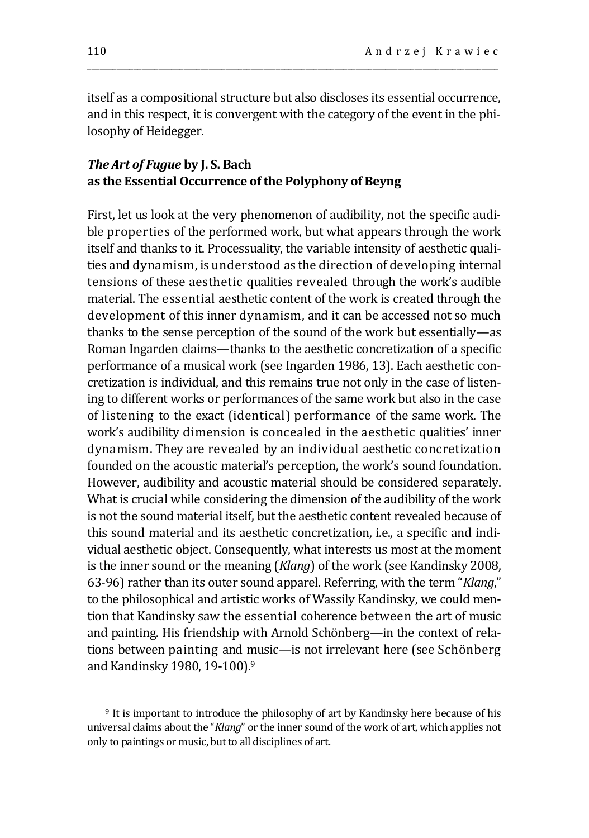itself as a compositional structure but also discloses its essential occurrence, and in this respect, it is convergent with the category of the event in the philosophy of Heidegger.

\_\_\_\_\_\_\_\_\_\_\_\_\_\_\_\_\_\_\_\_\_\_\_\_\_\_\_\_\_\_\_\_\_\_\_\_\_\_\_\_\_\_\_\_\_\_\_\_\_\_\_\_\_\_\_\_\_\_\_\_\_\_\_\_\_\_\_\_\_\_\_\_\_\_\_\_\_\_\_\_\_\_\_\_\_\_\_\_\_\_\_\_\_\_\_\_\_\_

## *The Art of Fugue* **by J. S. Bach as the Essential Occurrence of the Polyphony of Beyng**

First, let us look at the very phenomenon of audibility, not the specific audible properties of the performed work, but what appears through the work itself and thanks to it. Processuality, the variable intensity of aesthetic qualities and dynamism, is understood as the direction of developing internal tensions of these aesthetic qualities revealed through the work's audible material. The essential aesthetic content of the work is created through the development of this inner dynamism, and it can be accessed not so much thanks to the sense perception of the sound of the work but essentially—as Roman Ingarden claims—thanks to the aesthetic concretization of a specific performance of a musical work (see Ingarden 1986, 13). Each aesthetic concretization is individual, and this remains true not only in the case of listening to different works or performances of the same work but also in the case of listening to the exact (identical) performance of the same work. The work's audibility dimension is concealed in the aesthetic qualities' inner dynamism. They are revealed by an individual aesthetic concretization founded on the acoustic material's perception, the work's sound foundation. However, audibility and acoustic material should be considered separately. What is crucial while considering the dimension of the audibility of the work is not the sound material itself, but the aesthetic content revealed because of this sound material and its aesthetic concretization, i.e., a specific and individual aesthetic object. Consequently, what interests us most at the moment is the inner sound or the meaning (*Klang*) of the work (see Kandinsky 2008, 63-96) rather than its outer sound apparel. Referring, with the term "*Klang*," to the philosophical and artistic works of Wassily Kandinsky, we could mention that Kandinsky saw the essential coherence between the art of music and painting. His friendship with Arnold Schönberg—in the context of relations between painting and music—is not irrelevant here (see Schönberg and Kandinsky 1980, 19-100).<sup>9</sup>

<sup>9</sup> It is important to introduce the philosophy of art by Kandinsky here because of his universal claims about the "*Klang*" or the inner sound of the work of art, which applies not only to paintings or music, but to all disciplines of art.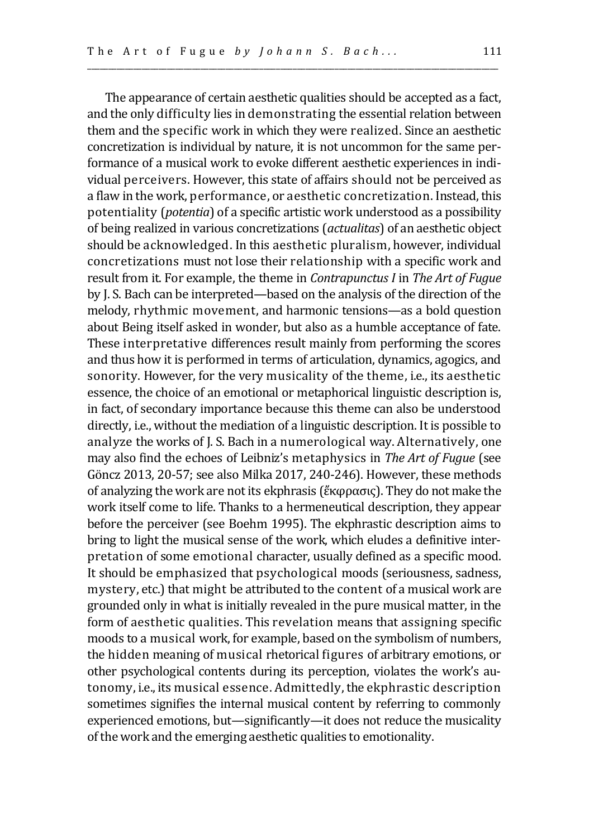\_\_\_\_\_\_\_\_\_\_\_\_\_\_\_\_\_\_\_\_\_\_\_\_\_\_\_\_\_\_\_\_\_\_\_\_\_\_\_\_\_\_\_\_\_\_\_\_\_\_\_\_\_\_\_\_\_\_\_\_\_\_\_\_\_\_\_\_\_\_\_\_\_\_\_\_\_\_\_\_\_\_\_\_\_\_\_\_\_\_\_\_\_\_\_\_\_\_

The appearance of certain aesthetic qualities should be accepted as a fact, and the only difficulty lies in demonstrating the essential relation between them and the specific work in which they were realized. Since an aesthetic concretization is individual by nature, it is not uncommon for the same performance of a musical work to evoke different aesthetic experiences in individual perceivers. However, this state of affairs should not be perceived as a flaw in the work, performance, or aesthetic concretization. Instead, this potentiality (*potentia*) of a specific artistic work understood as a possibility of being realized in various concretizations (*actualitas*) of an aesthetic object should be acknowledged. In this aesthetic pluralism, however, individual concretizations must not lose their relationship with a specific work and result from it. For example, the theme in *Contrapunctus I* in *The Art of Fugue* by J. S. Bach can be interpreted—based on the analysis of the direction of the melody, rhythmic movement, and harmonic tensions—as a bold question about Being itself asked in wonder, but also as a humble acceptance of fate. These interpretative differences result mainly from performing the scores and thus how it is performed in terms of articulation, dynamics, agogics, and sonority. However, for the very musicality of the theme, i.e., its aesthetic essence, the choice of an emotional or metaphorical linguistic description is, in fact, of secondary importance because this theme can also be understood directly, i.e., without the mediation of a linguistic description. It is possible to analyze the works of J. S. Bach in a numerological way. Alternatively, one may also find the echoes of Leibniz's metaphysics in *The Art of Fugue* (see Göncz 2013, 20-57; see also Milka 2017, 240-246). However, these methods of analyzing the work are not its ekphrasis (ἔκφρασις). They do not make the work itself come to life. Thanks to a hermeneutical description, they appear before the perceiver (see Boehm 1995). The ekphrastic description aims to bring to light the musical sense of the work, which eludes a definitive interpretation of some emotional character, usually defined as a specific mood. It should be emphasized that psychological moods (seriousness, sadness, mystery, etc.) that might be attributed to the content of a musical work are grounded only in what is initially revealed in the pure musical matter, in the form of aesthetic qualities. This revelation means that assigning specific moods to a musical work, for example, based on the symbolism of numbers, the hidden meaning of musical rhetorical figures of arbitrary emotions, or other psychological contents during its perception, violates the work's autonomy, i.e., its musical essence. Admittedly, the ekphrastic description sometimes signifies the internal musical content by referring to commonly experienced emotions, but—significantly—it does not reduce the musicality of the work and the emerging aesthetic qualities to emotionality.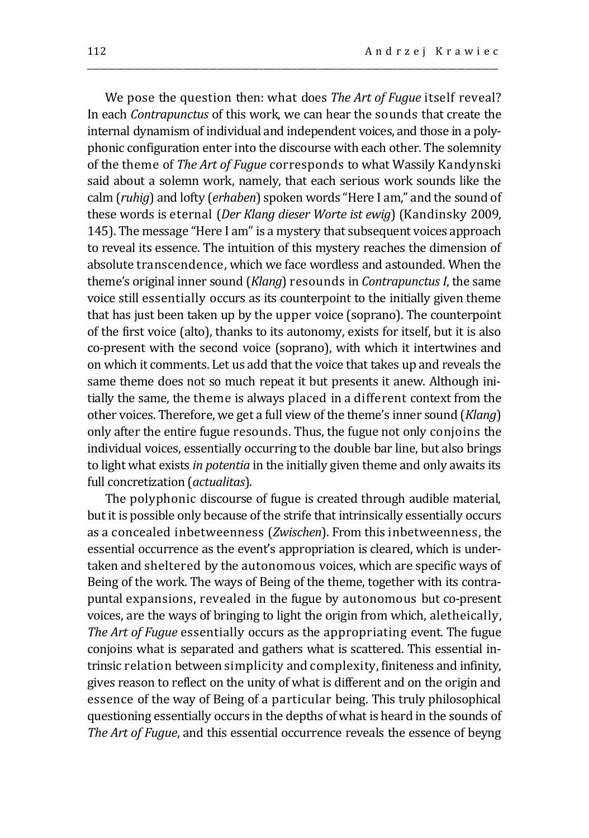We pose the question then: what does *The Art of Fugue* itself reveal? In each *Contrapunctus* of this work, we can hear the sounds that create the internal dynamism of individual and independent voices, and those in a polyphonic configuration enter into the discourse with each other. The solemnity of the theme of *The Art of Fugue* corresponds to what Wassily Kandynski said about a solemn work, namely, that each serious work sounds like the calm (*ruhig*) and lofty (*erhaben*) spoken words "Here I am," and the sound of these words is eternal (*Der Klang dieser Worte ist ewig*) (Kandinsky 2009, 145). The message "Here I am" is a mystery that subsequent voices approach to reveal its essence. The intuition of this mystery reaches the dimension of absolute transcendence, which we face wordless and astounded. When the theme's original inner sound (*Klang*) resounds in *Contrapunctus I*, the same voice still essentially occurs as its counterpoint to the initially given theme that has just been taken up by the upper voice (soprano). The counterpoint of the first voice (alto), thanks to its autonomy, exists for itself, but it is also co-present with the second voice (soprano), with which it intertwines and on which it comments. Let us add that the voice that takes up and reveals the same theme does not so much repeat it but presents it anew. Although initially the same, the theme is always placed in a different context from the other voices. Therefore, we get a full view of the theme's inner sound (*Klang*) only after the entire fugue resounds. Thus, the fugue not only conjoins the individual voices, essentially occurring to the double bar line, but also brings to light what exists *in potentia* in the initially given theme and only awaits its full concretization (*actualitas*).

\_\_\_\_\_\_\_\_\_\_\_\_\_\_\_\_\_\_\_\_\_\_\_\_\_\_\_\_\_\_\_\_\_\_\_\_\_\_\_\_\_\_\_\_\_\_\_\_\_\_\_\_\_\_\_\_\_\_\_\_\_\_\_\_\_\_\_\_\_\_\_\_\_\_\_\_\_\_\_\_\_\_\_\_\_\_\_\_\_\_\_\_\_\_\_\_\_\_

The polyphonic discourse of fugue is created through audible material, but it is possible only because of the strife that intrinsically essentially occurs as a concealed inbetweenness (*Zwischen*). From this inbetweenness, the essential occurrence as the event's appropriation is cleared, which is undertaken and sheltered by the autonomous voices, which are specific ways of Being of the work. The ways of Being of the theme, together with its contrapuntal expansions, revealed in the fugue by autonomous but co-present voices, are the ways of bringing to light the origin from which, aletheically, *The Art of Fugue* essentially occurs as the appropriating event. The fugue conjoins what is separated and gathers what is scattered. This essential intrinsic relation between simplicity and complexity, finiteness and infinity, gives reason to reflect on the unity of what is different and on the origin and essence of the way of Being of a particular being. This truly philosophical questioning essentially occurs in the depths of what is heard in the sounds of *The Art of Fugue*, and this essential occurrence reveals the essence of beyng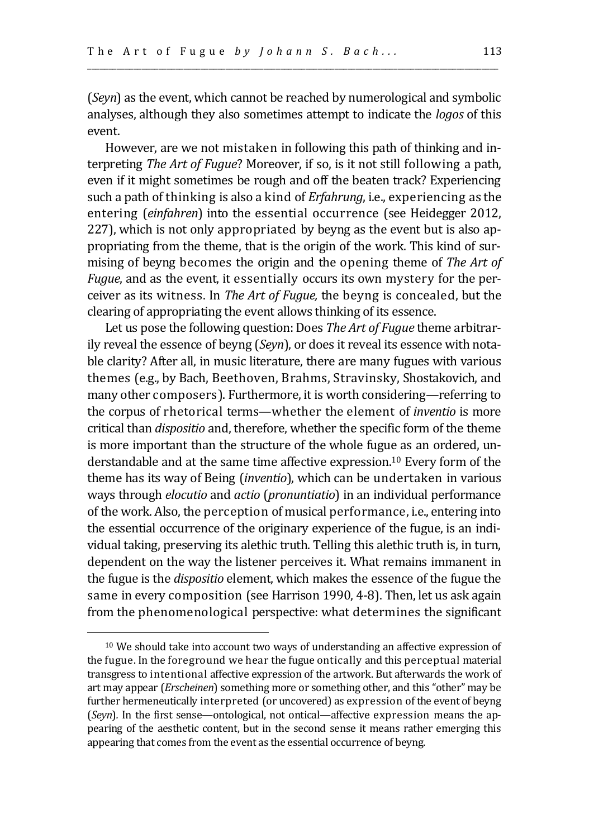(*Seyn*) as the event, which cannot be reached by numerological and symbolic analyses, although they also sometimes attempt to indicate the *logos* of this event.

\_\_\_\_\_\_\_\_\_\_\_\_\_\_\_\_\_\_\_\_\_\_\_\_\_\_\_\_\_\_\_\_\_\_\_\_\_\_\_\_\_\_\_\_\_\_\_\_\_\_\_\_\_\_\_\_\_\_\_\_\_\_\_\_\_\_\_\_\_\_\_\_\_\_\_\_\_\_\_\_\_\_\_\_\_\_\_\_\_\_\_\_\_\_\_\_\_\_

However, are we not mistaken in following this path of thinking and interpreting *The Art of Fugue*? Moreover, if so, is it not still following a path, even if it might sometimes be rough and off the beaten track? Experiencing such a path of thinking is also a kind of *Erfahrung*, i.e., experiencing as the entering (*einfahren*) into the essential occurrence (see Heidegger 2012, 227), which is not only appropriated by beyng as the event but is also appropriating from the theme, that is the origin of the work. This kind of surmising of beyng becomes the origin and the opening theme of *The Art of Fugue*, and as the event, it essentially occurs its own mystery for the perceiver as its witness. In *The Art of Fugue,* the beyng is concealed, but the clearing of appropriating the event allows thinking of its essence.

Let us pose the following question: Does *The Art of Fugue* theme arbitrarily reveal the essence of beyng (*Seyn*), or does it reveal its essence with notable clarity? After all, in music literature, there are many fugues with various themes (e.g., by Bach, Beethoven, Brahms, Stravinsky, Shostakovich, and many other composers). Furthermore, it is worth considering—referring to the corpus of rhetorical terms—whether the element of *inventio* is more critical than *dispositio* and, therefore, whether the specific form of the theme is more important than the structure of the whole fugue as an ordered, understandable and at the same time affective expression.<sup>10</sup> Every form of the theme has its way of Being (*inventio*), which can be undertaken in various ways through *elocutio* and *actio* (*pronuntiatio*) in an individual performance of the work. Also, the perception of musical performance, i.e., entering into the essential occurrence of the originary experience of the fugue, is an individual taking, preserving its alethic truth. Telling this alethic truth is, in turn, dependent on the way the listener perceives it. What remains immanent in the fugue is the *dispositio* element, which makes the essence of the fugue the same in every composition (see Harrison 1990, 4-8). Then, let us ask again from the phenomenological perspective: what determines the significant

<sup>10</sup> We should take into account two ways of understanding an affective expression of the fugue. In the foreground we hear the fugue ontically and this perceptual material transgress to intentional affective expression of the artwork. But afterwards the work of art may appear (*Erscheinen*) something more or something other, and this "other" may be further hermeneutically interpreted (or uncovered) as expression of the event of beyng (*Seyn*)*.* In the first sense—ontological, not ontical—affective expression means the appearing of the aesthetic content, but in the second sense it means rather emerging this appearing that comes from the event as the essential occurrence of beyng.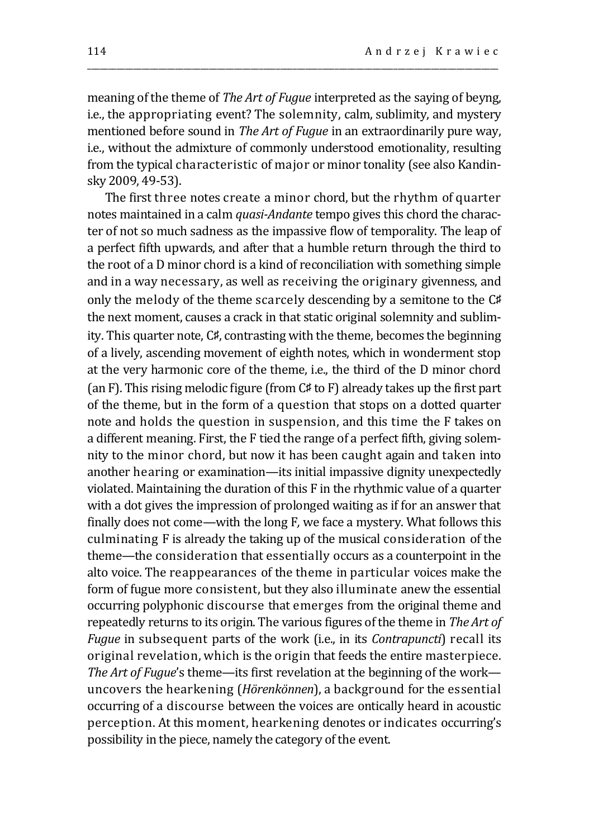meaning of the theme of *The Art of Fugue* interpreted as the saying of beyng, i.e., the appropriating event? The solemnity, calm, sublimity, and mystery mentioned before sound in *The Art of Fugue* in an extraordinarily pure way, i.e., without the admixture of commonly understood emotionality, resulting from the typical characteristic of major or minor tonality (see also Kandinsky 2009, 49-53).

\_\_\_\_\_\_\_\_\_\_\_\_\_\_\_\_\_\_\_\_\_\_\_\_\_\_\_\_\_\_\_\_\_\_\_\_\_\_\_\_\_\_\_\_\_\_\_\_\_\_\_\_\_\_\_\_\_\_\_\_\_\_\_\_\_\_\_\_\_\_\_\_\_\_\_\_\_\_\_\_\_\_\_\_\_\_\_\_\_\_\_\_\_\_\_\_\_\_

The first three notes create a minor chord, but the rhythm of quarter notes maintained in a calm *quasi-Andante* tempo gives this chord the character of not so much sadness as the impassive flow of temporality. The leap of a perfect fifth upwards, and after that a humble return through the third to the root of a D minor chord is a kind of reconciliation with something simple and in a way necessary, as well as receiving the originary givenness, and only the melody of the theme scarcely descending by a semitone to the C♯ the next moment, causes a crack in that static original solemnity and sublimity. This quarter note, C♯, contrasting with the theme, becomes the beginning of a lively, ascending movement of eighth notes, which in wonderment stop at the very harmonic core of the theme, i.e., the third of the D minor chord (an F). This rising melodic figure (from C♯ to F) already takes up the first part of the theme, but in the form of a question that stops on a dotted quarter note and holds the question in suspension, and this time the F takes on a different meaning. First, the F tied the range of a perfect fifth, giving solemnity to the minor chord, but now it has been caught again and taken into another hearing or examination—its initial impassive dignity unexpectedly violated. Maintaining the duration of this F in the rhythmic value of a quarter with a dot gives the impression of prolonged waiting as if for an answer that finally does not come—with the long F*,* we face a mystery. What follows this culminating F is already the taking up of the musical consideration of the theme—the consideration that essentially occurs as a counterpoint in the alto voice. The reappearances of the theme in particular voices make the form of fugue more consistent, but they also illuminate anew the essential occurring polyphonic discourse that emerges from the original theme and repeatedly returns to its origin. The various figures of the theme in *The Art of Fugue* in subsequent parts of the work (i.e., in its *Contrapuncti*) recall its original revelation, which is the origin that feeds the entire masterpiece. *The Art of Fugue*'s theme—its first revelation at the beginning of the work uncovers the hearkening (*Hörenkönnen*), a background for the essential occurring of a discourse between the voices are ontically heard in acoustic perception. At this moment, hearkening denotes or indicates occurring's possibility in the piece, namely the category of the event.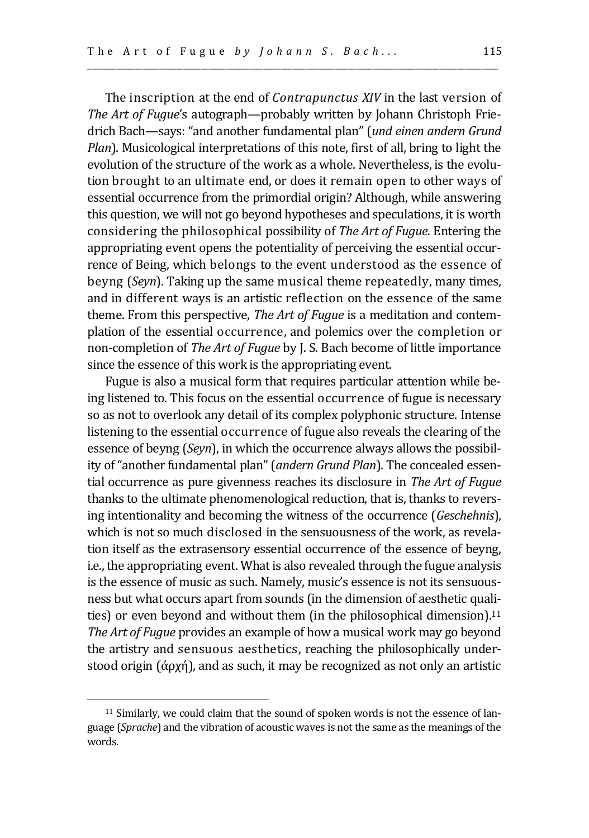The inscription at the end of *Contrapunctus XIV* in the last version of *The Art of Fugue*'s autograph—probably written by Johann Christoph Friedrich Bach—says: "and another fundamental plan" (*und einen andern Grund Plan*). Musicological interpretations of this note, first of all, bring to light the evolution of the structure of the work as a whole. Nevertheless, is the evolution brought to an ultimate end, or does it remain open to other ways of essential occurrence from the primordial origin? Although, while answering this question, we will not go beyond hypotheses and speculations, it is worth considering the philosophical possibility of *The Art of Fugue*. Entering the appropriating event opens the potentiality of perceiving the essential occurrence of Being, which belongs to the event understood as the essence of beyng (*Seyn*). Taking up the same musical theme repeatedly, many times, and in different ways is an artistic reflection on the essence of the same theme. From this perspective, *The Art of Fugue* is a meditation and contemplation of the essential occurrence, and polemics over the completion or non-completion of *The Art of Fugue* by J. S. Bach become of little importance since the essence of this work is the appropriating event.

\_\_\_\_\_\_\_\_\_\_\_\_\_\_\_\_\_\_\_\_\_\_\_\_\_\_\_\_\_\_\_\_\_\_\_\_\_\_\_\_\_\_\_\_\_\_\_\_\_\_\_\_\_\_\_\_\_\_\_\_\_\_\_\_\_\_\_\_\_\_\_\_\_\_\_\_\_\_\_\_\_\_\_\_\_\_\_\_\_\_\_\_\_\_\_\_\_\_

Fugue is also a musical form that requires particular attention while being listened to. This focus on the essential occurrence of fugue is necessary so as not to overlook any detail of its complex polyphonic structure. Intense listening to the essential occurrence of fugue also reveals the clearing of the essence of beyng (*Seyn*), in which the occurrence always allows the possibility of "another fundamental plan" (*andern Grund Plan*). The concealed essential occurrence as pure givenness reaches its disclosure in *The Art of Fugue* thanks to the ultimate phenomenological reduction, that is, thanks to reversing intentionality and becoming the witness of the occurrence (*Geschehnis*), which is not so much disclosed in the sensuousness of the work, as revelation itself as the extrasensory essential occurrence of the essence of beyng, i.e., the appropriating event. What is also revealed through the fugue analysis is the essence of music as such. Namely, music's essence is not its sensuousness but what occurs apart from sounds (in the dimension of aesthetic qualities) or even beyond and without them (in the philosophical dimension). $11$ *The Art of Fugue* provides an example of how a musical work may go beyond the artistry and sensuous aesthetics, reaching the philosophically understood origin  $(\dot{\alpha}$   $\alpha$   $\gamma$ <sup>1</sup>), and as such, it may be recognized as not only an artistic

<sup>11</sup> Similarly, we could claim that the sound of spoken words is not the essence of language (*Sprache*) and the vibration of acoustic waves is not the same as the meanings of the words.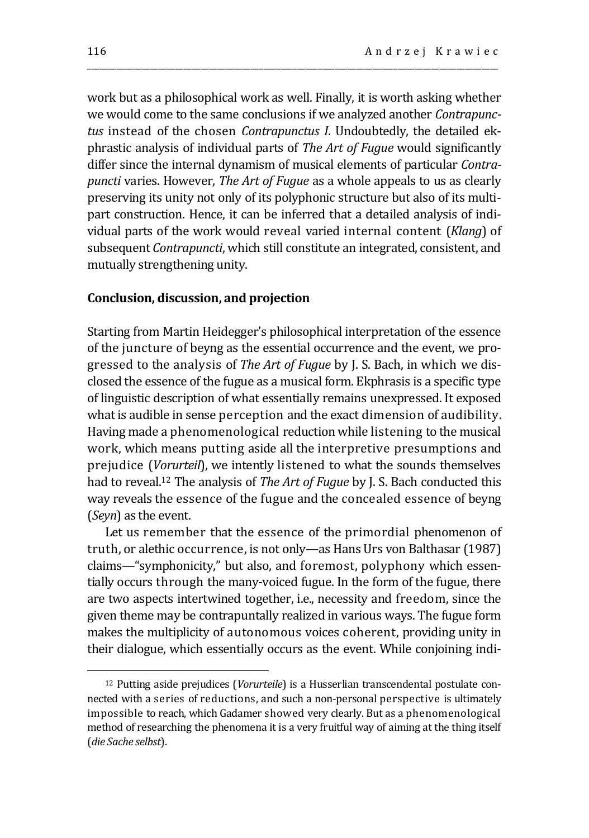work but as a philosophical work as well. Finally, it is worth asking whether we would come to the same conclusions if we analyzed another *Contrapunctus* instead of the chosen *Contrapunctus I*. Undoubtedly, the detailed ekphrastic analysis of individual parts of *The Art of Fugue* would significantly differ since the internal dynamism of musical elements of particular *Contrapuncti* varies. However, *The Art of Fugue* as a whole appeals to us as clearly preserving its unity not only of its polyphonic structure but also of its multipart construction. Hence, it can be inferred that a detailed analysis of individual parts of the work would reveal varied internal content (*Klang*) of subsequent *Contrapuncti*, which still constitute an integrated, consistent, and mutually strengthening unity.

\_\_\_\_\_\_\_\_\_\_\_\_\_\_\_\_\_\_\_\_\_\_\_\_\_\_\_\_\_\_\_\_\_\_\_\_\_\_\_\_\_\_\_\_\_\_\_\_\_\_\_\_\_\_\_\_\_\_\_\_\_\_\_\_\_\_\_\_\_\_\_\_\_\_\_\_\_\_\_\_\_\_\_\_\_\_\_\_\_\_\_\_\_\_\_\_\_\_

#### **Conclusion, discussion, and projection**

Starting from Martin Heidegger's philosophical interpretation of the essence of the juncture of beyng as the essential occurrence and the event, we progressed to the analysis of *The Art of Fugue* by J. S. Bach, in which we disclosed the essence of the fugue as a musical form. Ekphrasis is a specific type of linguistic description of what essentially remains unexpressed. It exposed what is audible in sense perception and the exact dimension of audibility. Having made a phenomenological reduction while listening to the musical work, which means putting aside all the interpretive presumptions and prejudice (*Vorurteil*), we intently listened to what the sounds themselves had to reveal.<sup>12</sup> The analysis of *The Art of Fugue* by J. S. Bach conducted this way reveals the essence of the fugue and the concealed essence of beyng (*Seyn*) as the event.

Let us remember that the essence of the primordial phenomenon of truth, or alethic occurrence, is not only—as Hans Urs von Balthasar (1987) claims—"symphonicity," but also, and foremost, polyphony which essentially occurs through the many-voiced fugue. In the form of the fugue, there are two aspects intertwined together, i.e., necessity and freedom, since the given theme may be contrapuntally realized in various ways. The fugue form makes the multiplicity of autonomous voices coherent, providing unity in their dialogue, which essentially occurs as the event. While conjoining indi-

<sup>12</sup> Putting aside prejudices (*Vorurteile*) is a Husserlian transcendental postulate connected with a series of reductions, and such a non-personal perspective is ultimately impossible to reach, which Gadamer showed very clearly. But as a phenomenological method of researching the phenomena it is a very fruitful way of aiming at the thing itself (*die Sache selbst*).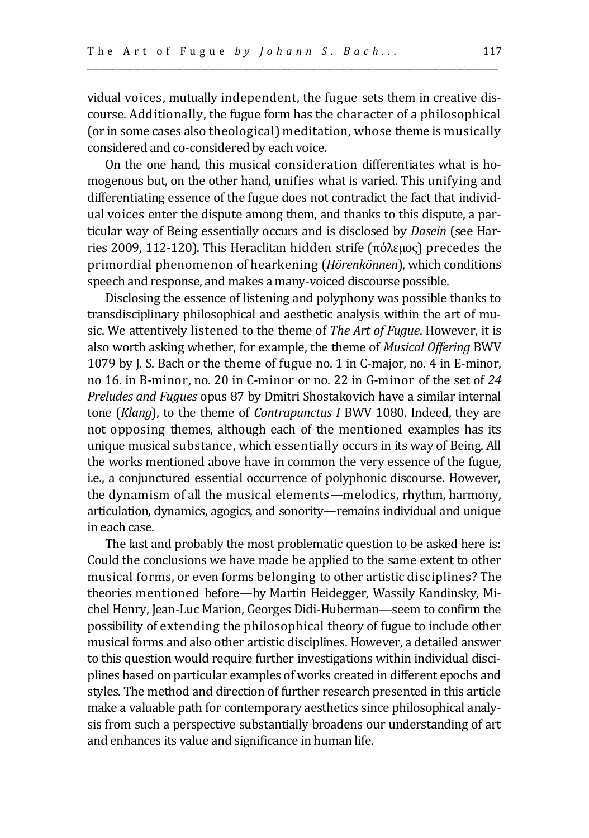vidual voices, mutually independent, the fugue sets them in creative discourse. Additionally, the fugue form has the character of a philosophical (or in some cases also theological) meditation, whose theme is musically considered and co-considered by each voice.

\_\_\_\_\_\_\_\_\_\_\_\_\_\_\_\_\_\_\_\_\_\_\_\_\_\_\_\_\_\_\_\_\_\_\_\_\_\_\_\_\_\_\_\_\_\_\_\_\_\_\_\_\_\_\_\_\_\_\_\_\_\_\_\_\_\_\_\_\_\_\_\_\_\_\_\_\_\_\_\_\_\_\_\_\_\_\_\_\_\_\_\_\_\_\_\_\_\_

On the one hand, this musical consideration differentiates what is homogenous but, on the other hand, unifies what is varied. This unifying and differentiating essence of the fugue does not contradict the fact that individual voices enter the dispute among them, and thanks to this dispute, a particular way of Being essentially occurs and is disclosed by *Dasein* (see Harries 2009, 112-120). This Heraclitan hidden strife (πόλεμος) precedes the primordial phenomenon of hearkening (*Hörenkönnen*), which conditions speech and response, and makes a many-voiced discourse possible.

Disclosing the essence of listening and polyphony was possible thanks to transdisciplinary philosophical and aesthetic analysis within the art of music. We attentively listened to the theme of *The Art of Fugue*. However, it is also worth asking whether, for example, the theme of *Musical Offering* BWV 1079 by J. S. Bach or the theme of fugue no. 1 in C-major, no. 4 in E-minor, no 16. in B-minor, no. 20 in C-minor or no. 22 in G-minor of the set of *24 Preludes and Fugues* opus 87 by Dmitri Shostakovich have a similar internal tone (*Klang*), to the theme of *Contrapunctus I* BWV 1080. Indeed, they are not opposing themes, although each of the mentioned examples has its unique musical substance, which essentially occurs in its way of Being. All the works mentioned above have in common the very essence of the fugue, i.e., a conjunctured essential occurrence of polyphonic discourse. However, the dynamism of all the musical elements—melodics, rhythm, harmony, articulation, dynamics, agogics, and sonority—remains individual and unique in each case.

The last and probably the most problematic question to be asked here is: Could the conclusions we have made be applied to the same extent to other musical forms, or even forms belonging to other artistic disciplines? The theories mentioned before—by Martin Heidegger, Wassily Kandinsky, Michel Henry, Jean-Luc Marion, Georges Didi-Huberman—seem to confirm the possibility of extending the philosophical theory of fugue to include other musical forms and also other artistic disciplines. However, a detailed answer to this question would require further investigations within individual disciplines based on particular examples of works created in different epochs and styles. The method and direction of further research presented in this article make a valuable path for contemporary aesthetics since philosophical analysis from such a perspective substantially broadens our understanding of art and enhances its value and significance in human life.